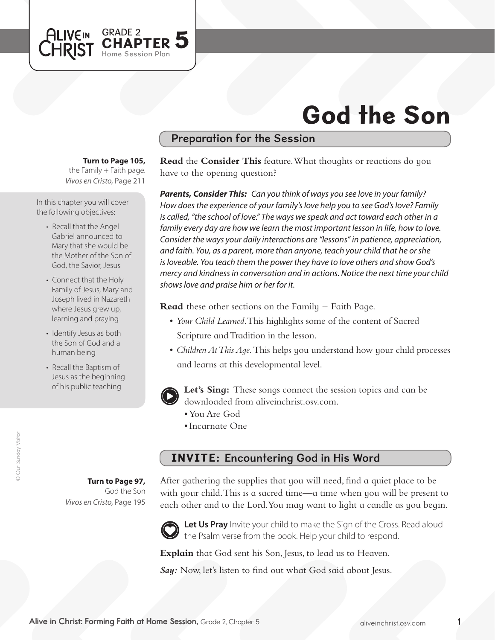

# Preparation for the Session

#### **Turn to Page 105,**

GRADE 2<br>CHAPTER 5

Home Session Plan

the Family  $+$  Faith page. *Vivos en Cristo,* Page 211

In this chapter you will cover the following objectives:

**ALIVEIN LHRIST** 

- Recall that the Angel Gabriel announced to Mary that she would be the Mother of the Son of God, the Savior, Jesus
- Connect that the Holy Family of Jesus, Mary and Joseph lived in Nazareth where Jesus grew up, learning and praying
- Identify Jesus as both the Son of God and a human being
- Recall the Baptism of Jesus as the beginning of his public teaching

**Read** the **Consider This** feature. What thoughts or reactions do you have to the opening question?

*Parents, Consider This: Can you think of ways you see love in your family? How does the experience of your family's love help you to see God's love? Family*  is called, "the school of love." The ways we speak and act toward each other in a *family every day are how we learn the most important lesson in life, how to love. Consider the ways your daily interactions are "lessons" in patience, appreciation, and faith. You, as a parent, more than anyone, teach your child that he or she is loveable. You teach them the power they have to love others and show God's mercy and kindness in conversation and in actions. Notice the next time your child shows love and praise him or her for it.*

**Read** these other sections on the Family + Faith Page.

- *Your Child Learned*. This highlights some of the content of Sacred Scripture and Tradition in the lesson.
- • *Children At This Age.* This helps you understand how your child processes and learns at this developmental level.



**Let's Sing:** These songs connect the session topics and can be downloaded from aliveinchrist.osv.com.

- • You Are God
- • Incarnate One

# INVITE: Encountering God in His Word

**Turn to Page 97,** God the Son *Vivos en Cristo,* Page 195 After gathering the supplies that you will need, find a quiet place to be with your child. This is a sacred time—a time when you will be present to each other and to the Lord.You may want to light a candle as you begin.



Let Us Pray Invite your child to make the Sign of the Cross. Read aloud the Psalm verse from the book. Help your child to respond.

**Explain** that God sent his Son, Jesus, to lead us to Heaven.

*Say:* Now, let's listen to find out what God said about Jesus.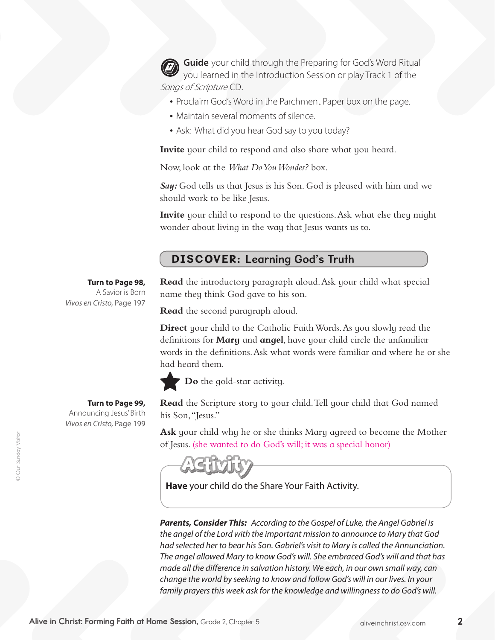**Guide** your child through the Preparing for God's Word Ritual you learned in the Introduction Session or play Track 1 of the Songs of Scripture CD.

- Proclaim God's Word in the Parchment Paper box on the page.
- Maintain several moments of silence.
- Ask: What did you hear God say to you today?

**Invite** your child to respond and also share what you heard.

Now, look at the *What Do You Wonder?* box.

Say: God tells us that Jesus is his Son. God is pleased with him and we should work to be like Jesus.

**Invite** your child to respond to the questions. Ask what else they might wonder about living in the way that Jesus wants us to.

### DISCOVER: Learning God's Truth

### **Turn to Page 98,**

A Savior is Born *Vivos en Cristo,* Page 197

### **Turn to Page 99,**

Announcing Jesus'Birth *Vivos en Cristo,* Page 199 **Read** the introductory paragraph aloud.Ask your child what special name they think God gave to his son.

**Read** the second paragraph aloud.

**Direct** your child to the Catholic Faith Words. As you slowly read the definitions for **Mary** and **angel**, have your child circle the unfamiliar words in the definitions.Ask what words were familiar and where he or she had heard them.



**Do** the gold-star activity.

**Read** the Scripture story to your child.Tell your child that God named his Son,"Jesus."

**Ask** your child why he or she thinks Mary agreed to become the Mother of Jesus. (she wanted to do God's will; it was a special honor)

**Have** your child do the Share Your Faith Activity.

*Parents, Consider This: According to the Gospel of Luke, the Angel Gabriel is the angel of the Lord with the important mission to announce to Mary that God had selected her to bear his Son. Gabriel's visit to Mary is called the Annunciation. The angel allowed Mary to know God's will. She embraced God's will and that has made all the difference in salvation history. We each, in our own small way, can change the world by seeking to know and follow God's will in our lives. In your family prayers this week ask for the knowledge and willingness to do God's will.*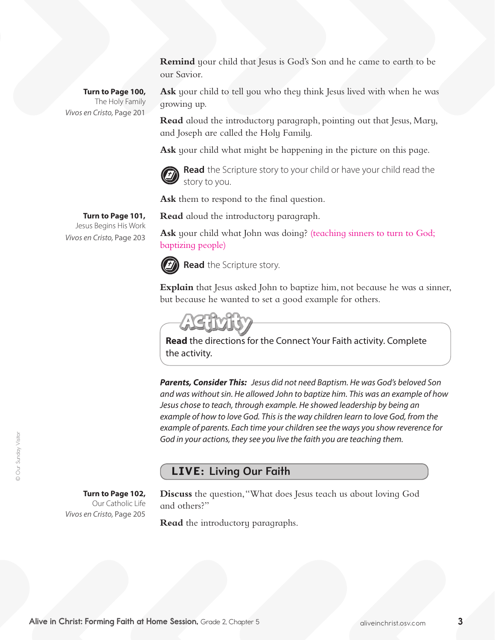**Remind** your child that Jesus is God's Son and he came to earth to be our Savior.

**Turn to Page 100,**  The Holy Family *Vivos en Cristo,* Page 201

**Ask** your child to tell you who they think Jesus lived with when he was growing up.

**Read** aloud the introductory paragraph, pointing out that Jesus, Mary, and Joseph are called the Holy Family.

**Ask** your child what might be happening in the picture on this page.



**Read** the Scripture story to your child or have your child read the story to you.

**Ask** them to respond to the final question.

**Turn to Page 101,** Jesus Begins His Work

*Vivos en Cristo,* Page 203

**Read** aloud the introductory paragraph.

Ask your child what John was doing? (teaching sinners to turn to God; baptizing people)



**Read** the Scripture story.

**Explain** that Jesus asked John to baptize him, not because he was a sinner, but because he wanted to set a good example for others.

**Read** the directions for the Connect Your Faith activity. Complete the activity.

*Parents, Consider This: Jesus did not need Baptism. He was God's beloved Son and was without sin. He allowed John to baptize him. This was an example of how Jesus chose to teach, through example. He showed leadership by being an example of how to love God. This is the way children learn to love God, from the example of parents. Each time your children see the ways you show reverence for God in your actions, they see you live the faith you are teaching them.*

# LIVE: Living Our Faith

### **Turn to Page 102,**

Our Catholic Life *Vivos en Cristo,* Page 205

**Discuss** the question,"What does Jesus teach us about loving God and others?"

**Read** the introductory paragraphs.

© Our Sunday Visitor

© Our Sunday Visitor